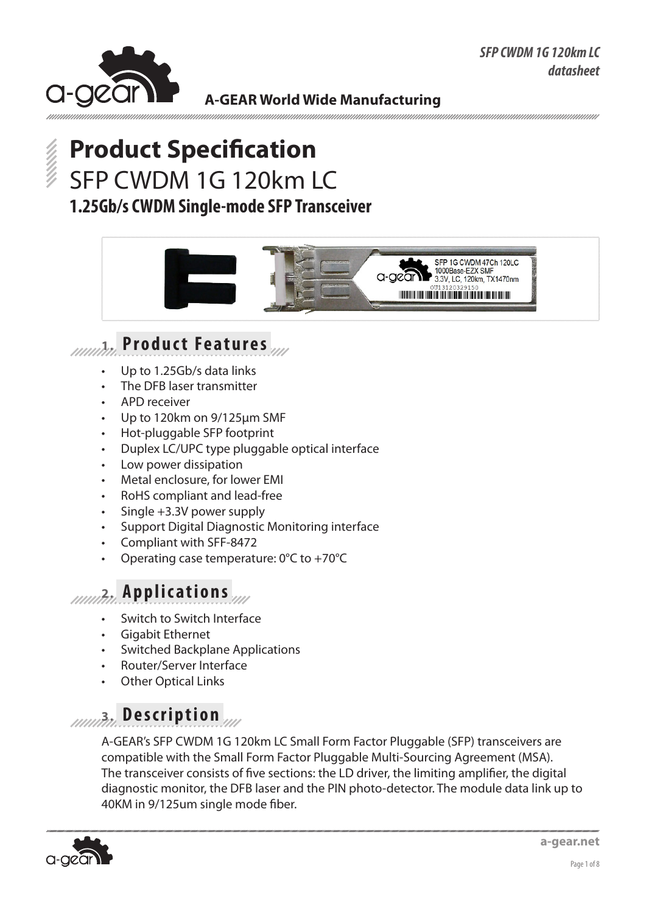

# **Product Specification** SFP CWDM 1G 120km LC **1.25Gb/s CWDM Single-mode SFP Transceiver**



## **1. Product Features**

- Up to 1.25Gb/s data links
- The DFB laser transmitter
- APD receiver
- Up to 120km on 9/125μm SMF
- Hot-pluggable SFP footprint
- Duplex LC/UPC type pluggable optical interface
- Low power dissipation
- Metal enclosure, for lower EMI
- RoHS compliant and lead-free
- Single  $+3.3V$  power supply
- Support Digital Diagnostic Monitoring interface
- Compliant with SFF-8472
- Operating case temperature:  $0^{\circ}$ C to +70 $^{\circ}$ C

#### **2. Applications**

- Switch to Switch Interface
- **Gigabit Ethernet**
- **Switched Backplane Applications**
- • Router/Server Interface
- **Other Optical Links**

# **3. Description**

A-GEAR's SFP CWDM 1G 120km LC Small Form Factor Pluggable (SFP) transceivers are compatible with the Small Form Factor Pluggable Multi-Sourcing Agreement (MSA). The transceiver consists of five sections: the LD driver, the limiting amplifier, the digital diagnostic monitor, the DFB laser and the PIN photo-detector. The module data link up to 40KM in 9/125um single mode fiber.

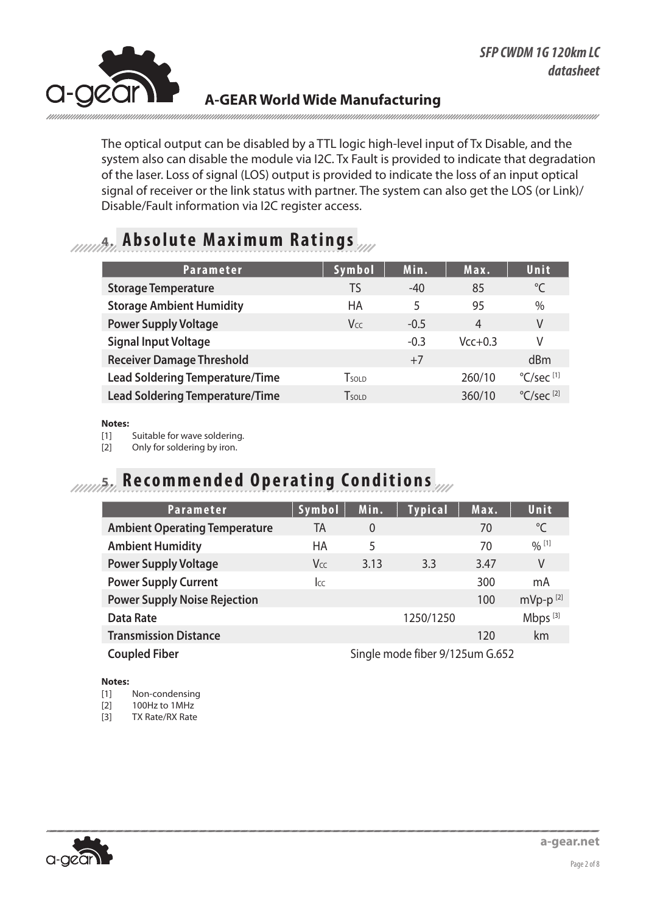

The optical output can be disabled by a TTL logic high-level input of Tx Disable, and the system also can disable the module via I2C. Tx Fault is provided to indicate that degradation of the laser. Loss of signal (LOS) output is provided to indicate the loss of an input optical signal of receiver or the link status with partner. The system can also get the LOS (or Link)/ Disable/Fault information via I2C register access.

### **4. Absolute Maximum Ratings**

| <b>Parameter</b>                       | Symbol          | Min.   | Max.      | Unit                            |
|----------------------------------------|-----------------|--------|-----------|---------------------------------|
| <b>Storage Temperature</b>             | TS              | $-40$  | 85        | $^{\circ}$ C                    |
| <b>Storage Ambient Humidity</b>        | HA              | 5      | 95        | $\%$                            |
| <b>Power Supply Voltage</b>            | V <sub>CC</sub> | $-0.5$ | 4         | V                               |
| <b>Signal Input Voltage</b>            |                 | $-0.3$ | $Vcc+0.3$ | V                               |
| <b>Receiver Damage Threshold</b>       |                 | $+7$   |           | dBm                             |
| <b>Lead Soldering Temperature/Time</b> | <b>T</b> sold   |        | 260/10    | $^{\circ}$ C/sec <sup>[1]</sup> |
| <b>Lead Soldering Temperature/Time</b> | <b>T</b> sold   |        | 360/10    | $^{\circ}$ C/sec <sup>[2]</sup> |

#### **Notes:**

[1] Suitable for wave soldering.

[2] Only for soldering by iron.

### **5. Recommended Operating Conditions**

| <b>Parameter</b>                     | Symbol                          | Min.           | <b>Typical</b> | Max. | Unit                |
|--------------------------------------|---------------------------------|----------------|----------------|------|---------------------|
| <b>Ambient Operating Temperature</b> | TA                              | $\overline{0}$ |                | 70   | $^{\circ}$ C        |
| <b>Ambient Humidity</b>              | HA                              | 5              |                | 70   | $0/0$ [1]           |
| <b>Power Supply Voltage</b>          | <b>Vcc</b>                      | 3.13           | 3.3            | 3.47 | V                   |
| <b>Power Supply Current</b>          | $ _{CC}$                        |                |                | 300  | mA                  |
| <b>Power Supply Noise Rejection</b>  |                                 |                |                | 100  | $mVp-p^{[2]}$       |
| <b>Data Rate</b>                     |                                 |                | 1250/1250      |      | Mbps <sup>[3]</sup> |
| <b>Transmission Distance</b>         |                                 |                |                | 120  | km                  |
| <b>Coupled Fiber</b>                 | Single mode fiber 9/125um G.652 |                |                |      |                     |

#### **Notes:**

[1] Non-condensing

[2] 100Hz to 1MHz

[3] TX Rate/RX Rate

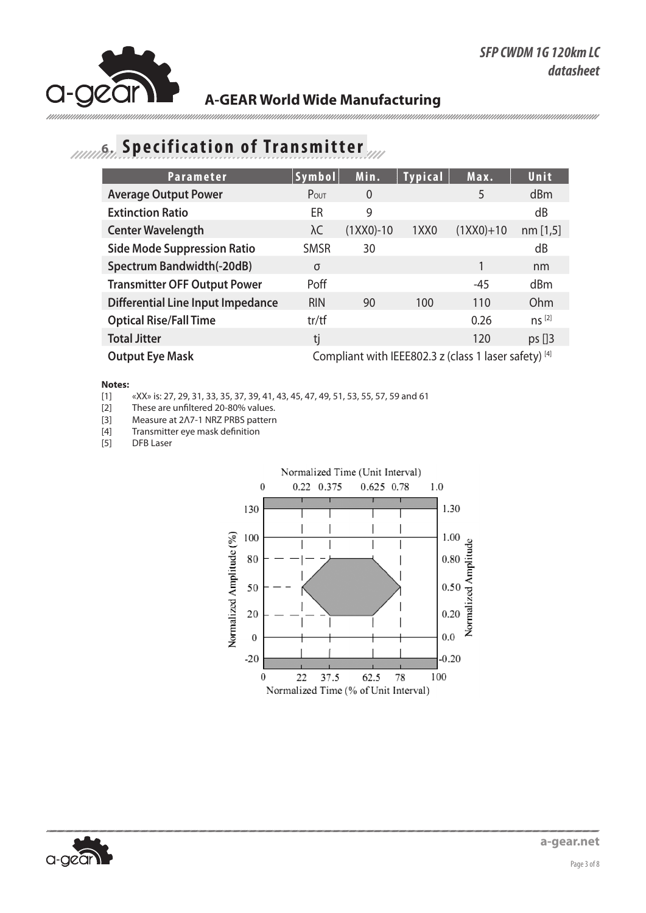

# **6. Specification of Transmitter**

| <b>Parameter</b>                         | Symbol                                                | Min.           | <b>Typical</b>   | Max.        | Unit       |
|------------------------------------------|-------------------------------------------------------|----------------|------------------|-------------|------------|
| <b>Average Output Power</b>              | Pout                                                  | $\overline{0}$ |                  | 5           | dBm        |
| <b>Extinction Ratio</b>                  | ER                                                    | 9              |                  |             | dB         |
| <b>Center Wavelength</b>                 | λC                                                    | $(1XX0)-10$    | 1XX <sub>0</sub> | $(1XX0)+10$ | nm[1,5]    |
| <b>Side Mode Suppression Ratio</b>       | <b>SMSR</b>                                           | 30             |                  |             | dB         |
| Spectrum Bandwidth(-20dB)                | σ                                                     |                |                  |             | nm         |
| <b>Transmitter OFF Output Power</b>      | Poff                                                  |                |                  | -45         | dBm        |
| <b>Differential Line Input Impedance</b> | <b>RIN</b>                                            | 90             | 100              | 110         | Ohm        |
| <b>Optical Rise/Fall Time</b>            | tr/tf                                                 |                |                  | 0.26        | $ns^{[2]}$ |
| <b>Total Jitter</b>                      | tj                                                    |                |                  | 120         | $ps$ []3   |
| <b>Output Eye Mask</b>                   | Compliant with IEEE802.3 z (class 1 laser safety) [4] |                |                  |             |            |

#### **Notes:**

[1]  $\quad$  «XX» is: 27, 29, 31, 33, 35, 37, 39, 41, 43, 45, 47, 49, 51, 53, 55, 57, 59 and 61<br>[2] These are unfiltered 20-80% values.

These are unfiltered 20-80% values.

[3] Measure at 2Λ7-1 NRZ PRBS pattern

[4] Transmitter eye mask definition<br>[5] DFB Laser

DFB Laser



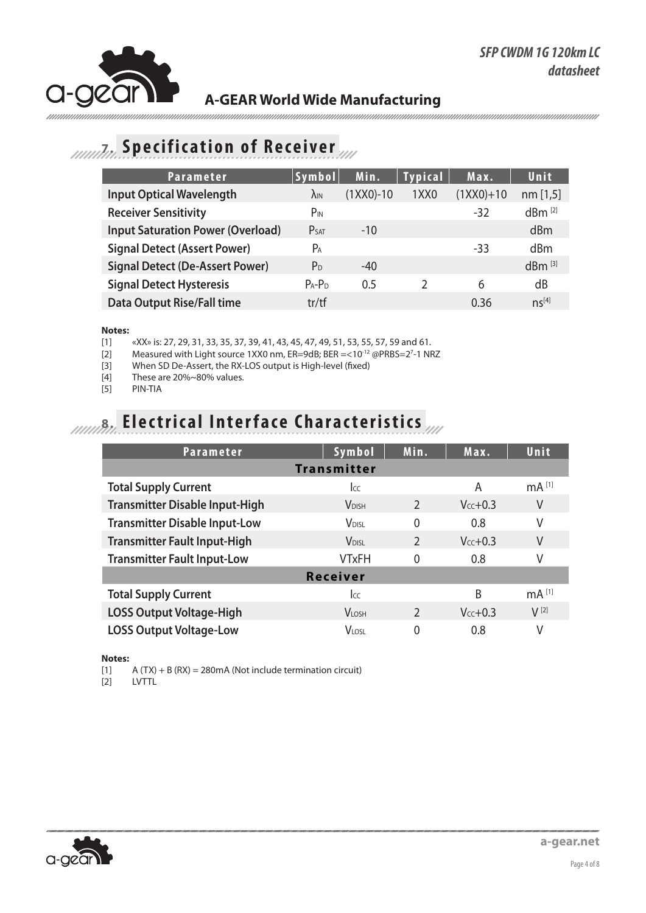

# **7. Specification of Receiver**

| <b>Parameter</b>                         | Symbol                | Min.        | <b>Typical</b>   | Max.        | Unit                 |
|------------------------------------------|-----------------------|-------------|------------------|-------------|----------------------|
| <b>Input Optical Wavelength</b>          | $\lambda_{\text{IN}}$ | $(1XX0)-10$ | 1XX <sub>0</sub> | $(1XX0)+10$ | nm[1,5]              |
| <b>Receiver Sensitivity</b>              | $P_{IN}$              |             |                  | $-32$       | $dBm^{[2]}$          |
| <b>Input Saturation Power (Overload)</b> | P <sub>SAT</sub>      | $-10$       |                  |             | dBm                  |
| <b>Signal Detect (Assert Power)</b>      | $P_A$                 |             |                  | $-33$       | dBm                  |
| <b>Signal Detect (De-Assert Power)</b>   | P <sub>D</sub>        | $-40$       |                  |             | $dBm$ <sup>[3]</sup> |
| <b>Signal Detect Hysteresis</b>          | $P_A - P_D$           | 0.5         | $\mathcal{P}$    | 6           | dB                   |
| <b>Data Output Rise/Fall time</b>        | tr/tf                 |             |                  | 0.36        | $ns^{[4]}$           |

**Notes:** «XX» is: 27, 29, 31, 33, 35, 37, 39, 41, 43, 45, 47, 49, 51, 53, 55, 57, 59 and 61.

[2] Measured with Light source 1XX0 nm, ER=9dB; BER =<10<sup>-12</sup> @PRBS=2<sup>7</sup>-1 NRZ

[3] When SD De-Assert, the RX-LOS output is High-level (fixed)

- [4] These are 20%~80% values.
- [5] PIN-TIA

# **8. Electrical Interface Characteristics**

| <b>Parameter</b>                      | Symbol                   | Min.           | Max.          | Unit                |  |  |
|---------------------------------------|--------------------------|----------------|---------------|---------------------|--|--|
|                                       | <b>Transmitter</b>       |                |               |                     |  |  |
| <b>Total Supply Current</b>           | Icc                      |                | A             | mA <sup>[1]</sup>   |  |  |
| <b>Transmitter Disable Input-High</b> | <b>V</b> DISH            | $\mathcal{P}$  | $V_{cc}$ +0.3 | V                   |  |  |
| <b>Transmitter Disable Input-Low</b>  | <b>V</b> <sub>DISL</sub> | $\Omega$       | 0.8           | V                   |  |  |
| <b>Transmitter Fault Input-High</b>   | <b>V</b> <sub>DISI</sub> | $\mathfrak{D}$ | $V_{cc}$ +0.3 | V                   |  |  |
| <b>Transmitter Fault Input-Low</b>    | <b>VTxFH</b>             | 0              | 0.8           | V                   |  |  |
| <b>Receiver</b>                       |                          |                |               |                     |  |  |
| <b>Total Supply Current</b>           | Icc                      |                | B             | $mA$ <sup>[1]</sup> |  |  |
| <b>LOSS Output Voltage-High</b>       | <b>VLOSH</b>             | $\mathcal{P}$  | $Vcc+0.3$     | $V^{[2]}$           |  |  |
| <b>LOSS Output Voltage-Low</b>        | <b>VLOSL</b>             | 0              | 0.8           | ٧                   |  |  |

#### **Notes:**

[1]  $A(TX) + B(RX) = 280 \text{mA}$  (Not include termination circuit)<br>[2]  $LVTTL$ 

**LVTTL** 

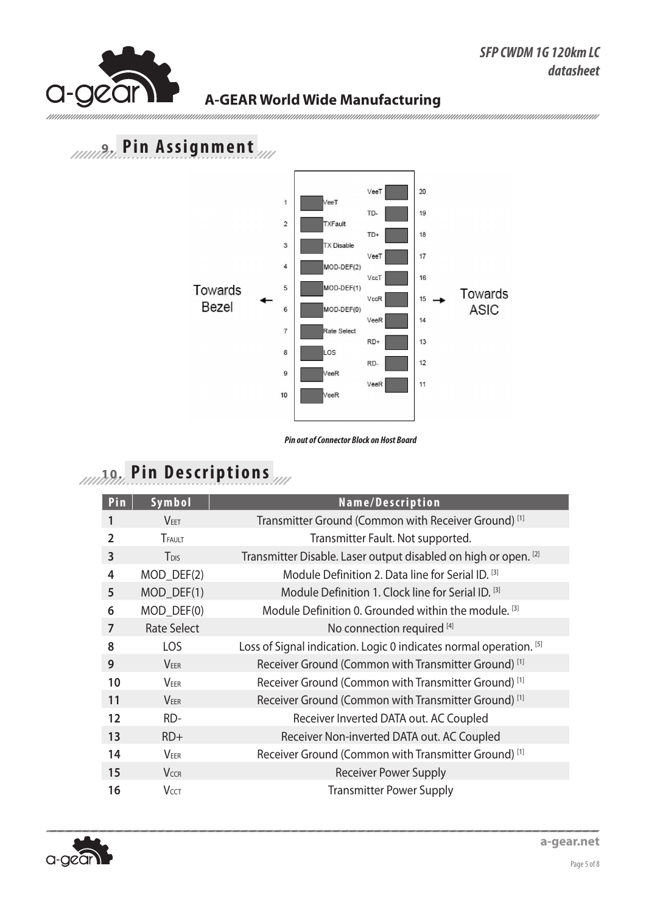mmmmm

#### **A-GEAR World Wide Manufacturing**

# **9. Pin Assignment**



*Pin out of Connector Block on Host Board*

# **10. Pin Descriptions**

| Pin               | Symbol                  | Name/Description                                                   |
|-------------------|-------------------------|--------------------------------------------------------------------|
|                   | <b>VEET</b>             | Transmitter Ground (Common with Receiver Ground) <sup>[1]</sup>    |
| $\overline{2}$    | TFAULT                  | Transmitter Fault. Not supported.                                  |
| 3                 | <b>T</b> <sub>DIS</sub> | Transmitter Disable. Laser output disabled on high or open. [2]    |
| 4                 | MOD_DEF(2)              | Module Definition 2. Data line for Serial ID. [3]                  |
| 5                 | MOD_DEF(1)              | Module Definition 1. Clock line for Serial ID. [3]                 |
| 6                 | MOD_DEF(0)              | Module Definition 0. Grounded within the module. <sup>[3]</sup>    |
| 7                 | <b>Rate Select</b>      | No connection required [4]                                         |
| 8                 | LOS                     | Loss of Signal indication. Logic 0 indicates normal operation. [5] |
| 9                 | <b>VEER</b>             | Receiver Ground (Common with Transmitter Ground) <sup>[1]</sup>    |
| 10                | <b>VEER</b>             | Receiver Ground (Common with Transmitter Ground) <sup>[1]</sup>    |
| 11                | <b>VEER</b>             | Receiver Ground (Common with Transmitter Ground) <sup>[1]</sup>    |
| $12 \overline{ }$ | RD-                     | Receiver Inverted DATA out. AC Coupled                             |
| 13                | $RD+$                   | Receiver Non-inverted DATA out. AC Coupled                         |
| 14                | <b>VEER</b>             | Receiver Ground (Common with Transmitter Ground) <sup>[1]</sup>    |
| 15                | <b>VCCR</b>             | <b>Receiver Power Supply</b>                                       |
| 16                | <b>VCCT</b>             | <b>Transmitter Power Supply</b>                                    |

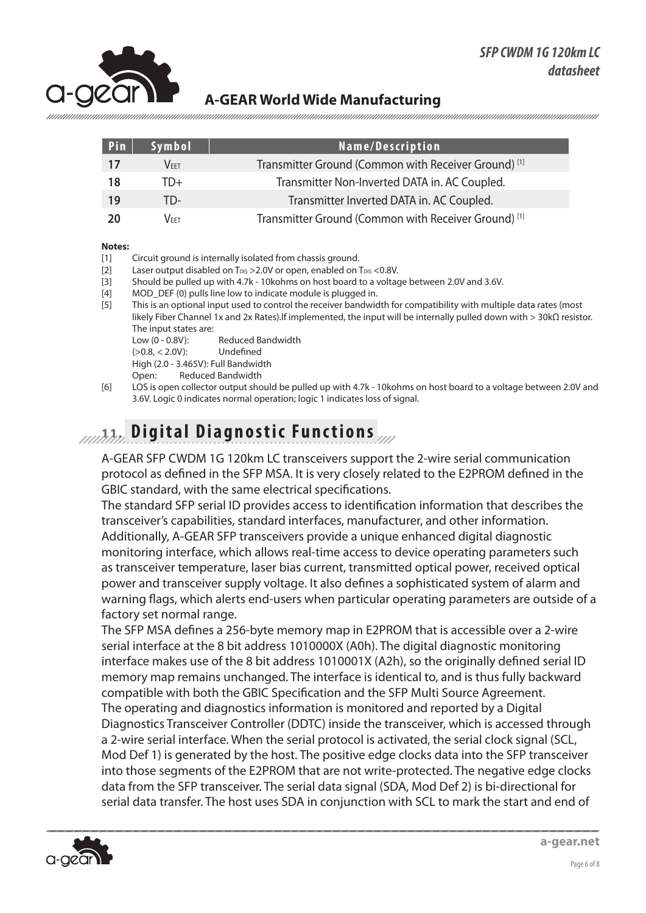

| Pin | Symbol           | Name/Description                                                |
|-----|------------------|-----------------------------------------------------------------|
| 17  | $\mathsf{V}$ fft | Transmitter Ground (Common with Receiver Ground) <sup>[1]</sup> |
| 18  | TD+              | Transmitter Non-Inverted DATA in. AC Coupled.                   |
| 19  | TD-              | Transmitter Inverted DATA in. AC Coupled.                       |
| 20  | Veet.            | Transmitter Ground (Common with Receiver Ground) <sup>[1]</sup> |

#### **Notes:**

- [1] Circuit ground is internally isolated from chassis ground.
- [2] Laser output disabled on T<sub>DIS</sub> > 2.0V or open, enabled on T<sub>DIS</sub> < 0.8V.
- [3] Should be pulled up with 4.7k 10kohms on host board to a voltage between 2.0V and 3.6V.
- [4] MOD\_DEF (0) pulls line low to indicate module is plugged in.
- [5] This is an optional input used to control the receiver bandwidth for compatibility with multiple data rates (most likely Fiber Channel 1x and 2x Rates).lf implemented, the input will be internally pulled down with > 30kΩ resistor. The input states are:
	- Low (0 0.8V): Reduced Bandwidth
	- (>0.8, < 2.0V): Undefined
	- High (2.0 3.465V): Full Bandwidth
	- Open: Reduced Bandwidth
- [6] LOS is open collector output should be pulled up with 4.7k 10kohms on host board to a voltage between 2.0V and 3.6V. Logic 0 indicates normal operation; logic 1 indicates loss of signal.

#### **11. Digital Diagnostic Functions**

A-GEAR SFP CWDM 1G 120km LC transceivers support the 2-wire serial communication protocol as defined in the SFP MSA. It is very closely related to the E2PROM defined in the GBIC standard, with the same electrical specifications.

The standard SFP serial ID provides access to identification information that describes the transceiver's capabilities, standard interfaces, manufacturer, and other information. Additionally, A-GEAR SFP transceivers provide a unique enhanced digital diagnostic monitoring interface, which allows real-time access to device operating parameters such as transceiver temperature, laser bias current, transmitted optical power, received optical power and transceiver supply voltage. It also defines a sophisticated system of alarm and warning flags, which alerts end-users when particular operating parameters are outside of a factory set normal range.

The SFP MSA defines a 256-byte memory map in E2PROM that is accessible over a 2-wire serial interface at the 8 bit address 1010000X (A0h). The digital diagnostic monitoring interface makes use of the 8 bit address 1010001X (A2h), so the originally defined serial ID memory map remains unchanged. The interface is identical to, and is thus fully backward compatible with both the GBIC Specification and the SFP Multi Source Agreement. The operating and diagnostics information is monitored and reported by a Digital Diagnostics Transceiver Controller (DDTC) inside the transceiver, which is accessed through a 2-wire serial interface. When the serial protocol is activated, the serial clock signal (SCL, Mod Def 1) is generated by the host. The positive edge clocks data into the SFP transceiver into those segments of the E2PROM that are not write-protected. The negative edge clocks data from the SFP transceiver. The serial data signal (SDA, Mod Def 2) is bi-directional for serial data transfer. The host uses SDA in conjunction with SCL to mark the start and end of

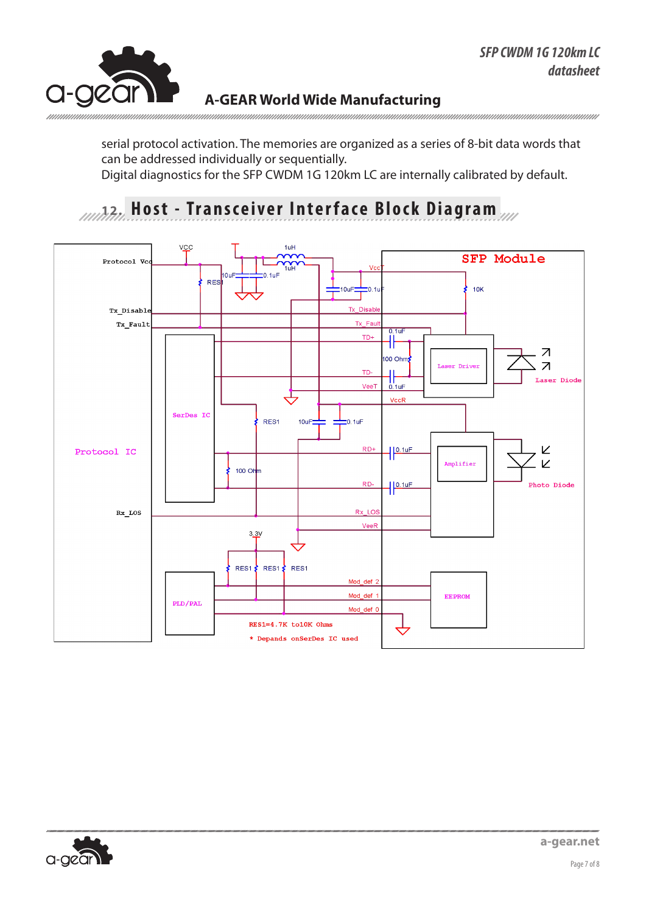

serial protocol activation. The memories are organized as a series of 8-bit data words that can be addressed individually or sequentially. Digital diagnostics for the SFP CWDM 1G 120km LC are internally calibrated by default.

### **12. Host - Transceiver Interface Block Diagram**